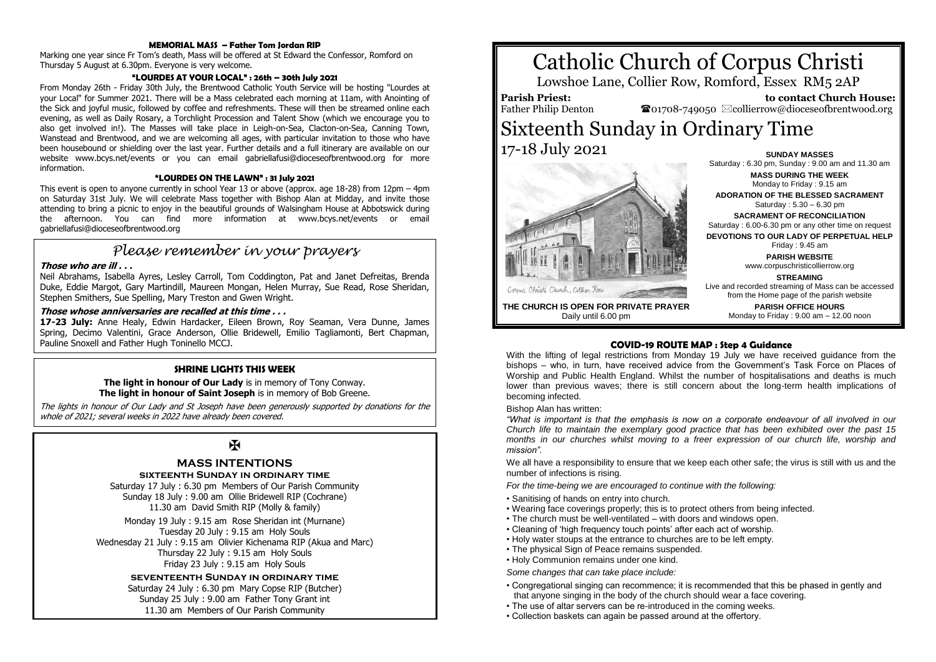## **MEMORIAL MASS – Father Tom Jordan RIP**

Marking one year since Fr Tom's death, Mass will be offered at St Edward the Confessor, Romford on Thursday 5 August at 6.30pm. Everyone is very welcome.

# **"LOURDES AT YOUR LOCAL" : 26th – 30th July 2021**

From Monday 26th - Friday 30th July, the Brentwood Catholic Youth Service will be hosting "Lourdes at your Local" for Summer 2021. There will be a Mass celebrated each morning at 11am, with Anointing of the Sick and joyful music, followed by coffee and refreshments. These will then be streamed online each evening, as well as Daily Rosary, a Torchlight Procession and Talent Show (which we encourage you to also get involved in!). The Masses will take place in Leigh-on-Sea, Clacton-on-Sea, Canning Town, Wanstead and Brentwood, and we are welcoming all ages, with particular invitation to those who have been housebound or shielding over the last year. Further details and a full itinerary are available on our website www.bcys.net/events or you can email gabriellafusi@dioceseofbrentwood.org for more information.

## **"LOURDES ON THE LAWN" : 31 July 2021**

This event is open to anyone currently in school Year 13 or above (approx. age 18-28) from 12pm – 4pm on Saturday 31st July. We will celebrate Mass together with Bishop Alan at Midday, and invite those attending to bring a picnic to enjoy in the beautiful grounds of Walsingham House at Abbotswick during the afternoon. You can find more information at www.bcys.net/events or email gabriellafusi@dioceseofbrentwood.org

# *Please remember in your prayers*

## **Those who are ill . . .**

Neil Abrahams, Isabella Ayres, Lesley Carroll, Tom Coddington, Pat and Janet Defreitas, Brenda Duke, Eddie Margot, Gary Martindill, Maureen Mongan, Helen Murray, Sue Read, Rose Sheridan, Stephen Smithers, Sue Spelling, Mary Treston and Gwen Wright.

# **Those whose anniversaries are recalled at this time . . .**

**17-23 July:** Anne Healy, Edwin Hardacker, Eileen Brown, Roy Seaman, Vera Dunne, James Spring, Decimo Valentini, Grace Anderson, Ollie Bridewell, Emilio Tagliamonti, Bert Chapman, Pauline Snoxell and Father Hugh Toninello MCCJ.

# **SHRINE LIGHTS THIS WEEK**

**The light in honour of Our Lady** is in memory of Tony Conway. **The light in honour of Saint Joseph** is in memory of Bob Greene.

The lights in honour of Our Lady and St Joseph have been generously supported by donations for the whole of 2021; several weeks in 2022 have already been covered.

# $\mathbf{F}$

# **MASS INTENTIONS**

## **sixteenth Sunday in ordinary time**

Saturday 17 July : 6.30 pm Members of Our Parish Community Sunday 18 July : 9.00 am Ollie Bridewell RIP (Cochrane) 11.30 am David Smith RIP (Molly & family)

Monday 19 July : 9.15 am Rose Sheridan int (Murnane) Tuesday 20 July : 9.15 am Holy Souls Wednesday 21 July : 9.15 am Olivier Kichenama RIP (Akua and Marc) Thursday 22 July : 9.15 am Holy Souls Friday 23 July : 9.15 am Holy Souls

# **seventeenth Sunday in ordinary time**

Saturday 24 July : 6.30 pm Mary Copse RIP (Butcher) Sunday 25 July : 9.00 am Father Tony Grant int 11.30 am Members of Our Parish Community

# Catholic Church of Corpus Christi

Lowshoe Lane, Collier Row, Romford, Essex RM5 2AP

**Parish Priest:** Father Philip Denton

 **to contact Church House:**  $\bullet$ 01708-749050  $\boxtimes$ collierrow@dioceseofbrentwood.org

# Sixteenth Sunday in Ordinary Time 17-18 July 2021 **SUNDAY MASSES**



**MASS DURING THE WEEK** Monday to Friday : 9.15 am **ADORATION OF THE BLESSED SACRAMENT** Saturday : 5.30 – 6.30 pm **SACRAMENT OF RECONCILIATION** Saturday : 6.00-6.30 pm or any other time on request **DEVOTIONS TO OUR LADY OF PERPETUAL HELP** Friday : 9.45 am **PARISH WEBSITE** www.corpuschristicollierrow.org **STREAMING** Live and recorded streaming of Mass can be accessed from the Home page of the parish website **PARISH OFFICE HOURS**

Monday to Friday : 9.00 am – 12.00 noon

Saturday : 6.30 pm, Sunday : 9.00 am and 11.30 am

**THE CHURCH IS OPEN FOR PRIVATE PRAYER** Daily until 6.00 pm

# **COVID-19 ROUTE MAP : Step 4 Guidance**

With the lifting of legal restrictions from Monday 19 July we have received guidance from the bishops – who, in turn, have received advice from the Government's Task Force on Places of Worship and Public Health England. Whilst the number of hospitalisations and deaths is much lower than previous waves; there is still concern about the long-term health implications of becoming infected.

Bishop Alan has written:

*"What is important is that the emphasis is now on a corporate endeavour of all involved in our Church life to maintain the exemplary good practice that has been exhibited over the past 15*  months in our churches whilst moving to a freer expression of our church life, worship and *mission".*

We all have a responsibility to ensure that we keep each other safe; the virus is still with us and the number of infections is rising.

*For the time-being we are encouraged to continue with the following:*

- Sanitising of hands on entry into church.
- Wearing face coverings properly; this is to protect others from being infected.
- The church must be well-ventilated with doors and windows open.
- Cleaning of 'high frequency touch points' after each act of worship.
- Holy water stoups at the entrance to churches are to be left empty.
- The physical Sign of Peace remains suspended.
- Holy Communion remains under one kind.

*Some changes that can take place include:*

- Congregational singing can recommence; it is recommended that this be phased in gently and that anyone singing in the body of the church should wear a face covering.
- The use of altar servers can be re-introduced in the coming weeks.
- Collection baskets can again be passed around at the offertory.